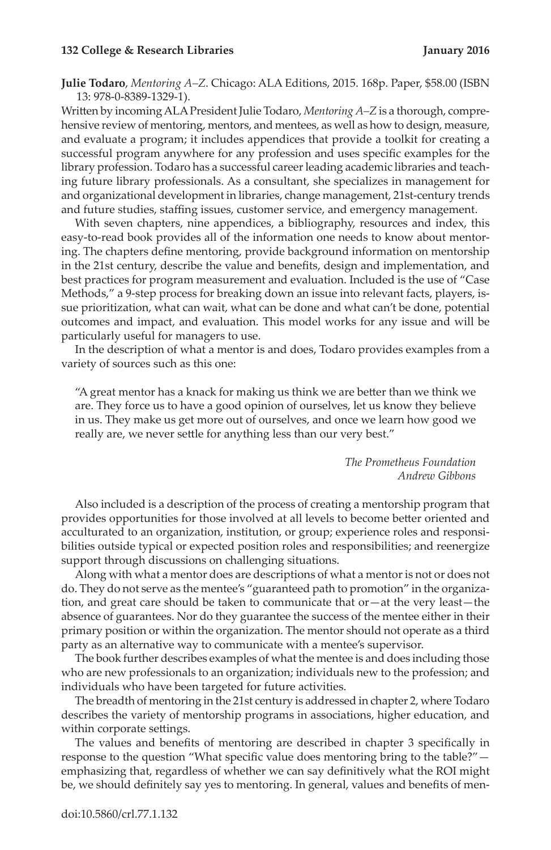## **132 College & Research Libraries January 2016**

**Julie Todaro**, *Mentoring A–Z*. Chicago: ALA Editions, 2015. 168p. Paper, \$58.00 (ISBN 13: 978-0-8389-1329-1).

Written by incoming ALA President Julie Todaro, *Mentoring A–Z* is a thorough, comprehensive review of mentoring, mentors, and mentees, as well as how to design, measure, and evaluate a program; it includes appendices that provide a toolkit for creating a successful program anywhere for any profession and uses specific examples for the library profession. Todaro has a successful career leading academic libraries and teaching future library professionals. As a consultant, she specializes in management for and organizational development in libraries, change management, 21st-century trends and future studies, staffing issues, customer service, and emergency management.

With seven chapters, nine appendices, a bibliography, resources and index, this easy-to-read book provides all of the information one needs to know about mentoring. The chapters define mentoring, provide background information on mentorship in the 21st century, describe the value and benefits, design and implementation, and best practices for program measurement and evaluation. Included is the use of "Case Methods," a 9-step process for breaking down an issue into relevant facts, players, issue prioritization, what can wait, what can be done and what can't be done, potential outcomes and impact, and evaluation. This model works for any issue and will be particularly useful for managers to use.

In the description of what a mentor is and does, Todaro provides examples from a variety of sources such as this one:

"A great mentor has a knack for making us think we are better than we think we are. They force us to have a good opinion of ourselves, let us know they believe in us. They make us get more out of ourselves, and once we learn how good we really are, we never settle for anything less than our very best."

> *The Prometheus Foundation Andrew Gibbons*

Also included is a description of the process of creating a mentorship program that provides opportunities for those involved at all levels to become better oriented and acculturated to an organization, institution, or group; experience roles and responsibilities outside typical or expected position roles and responsibilities; and reenergize support through discussions on challenging situations.

Along with what a mentor does are descriptions of what a mentor is not or does not do. They do not serve as the mentee's "guaranteed path to promotion" in the organization, and great care should be taken to communicate that or—at the very least—the absence of guarantees. Nor do they guarantee the success of the mentee either in their primary position or within the organization. The mentor should not operate as a third party as an alternative way to communicate with a mentee's supervisor.

The book further describes examples of what the mentee is and does including those who are new professionals to an organization; individuals new to the profession; and individuals who have been targeted for future activities.

The breadth of mentoring in the 21st century is addressed in chapter 2, where Todaro describes the variety of mentorship programs in associations, higher education, and within corporate settings.

The values and benefits of mentoring are described in chapter 3 specifically in response to the question "What specific value does mentoring bring to the table?" emphasizing that, regardless of whether we can say definitively what the ROI might be, we should definitely say yes to mentoring. In general, values and benefits of men-